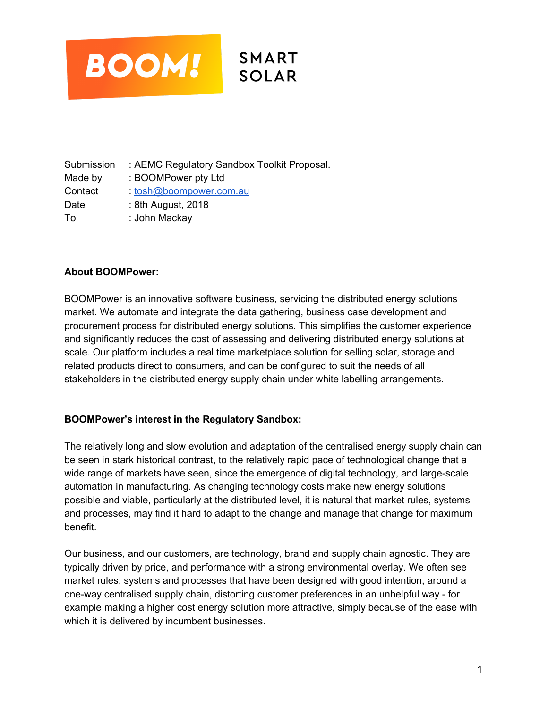

Submission : AEMC Regulatory Sandbox Toolkit Proposal. Made by : BOOMPower pty Ltd Contact : [tosh@boompower.com.au](mailto:tosh@boompower.com.au) Date : 8th August, 2018 To : John Mackay

## **About BOOMPower:**

BOOMPower is an innovative software business, servicing the distributed energy solutions market. We automate and integrate the data gathering, business case development and procurement process for distributed energy solutions. This simplifies the customer experience and significantly reduces the cost of assessing and delivering distributed energy solutions at scale. Our platform includes a real time marketplace solution for selling solar, storage and related products direct to consumers, and can be configured to suit the needs of all stakeholders in the distributed energy supply chain under white labelling arrangements.

## **BOOMPower's interest in the Regulatory Sandbox:**

The relatively long and slow evolution and adaptation of the centralised energy supply chain can be seen in stark historical contrast, to the relatively rapid pace of technological change that a wide range of markets have seen, since the emergence of digital technology, and large-scale automation in manufacturing. As changing technology costs make new energy solutions possible and viable, particularly at the distributed level, it is natural that market rules, systems and processes, may find it hard to adapt to the change and manage that change for maximum benefit.

Our business, and our customers, are technology, brand and supply chain agnostic. They are typically driven by price, and performance with a strong environmental overlay. We often see market rules, systems and processes that have been designed with good intention, around a one-way centralised supply chain, distorting customer preferences in an unhelpful way - for example making a higher cost energy solution more attractive, simply because of the ease with which it is delivered by incumbent businesses.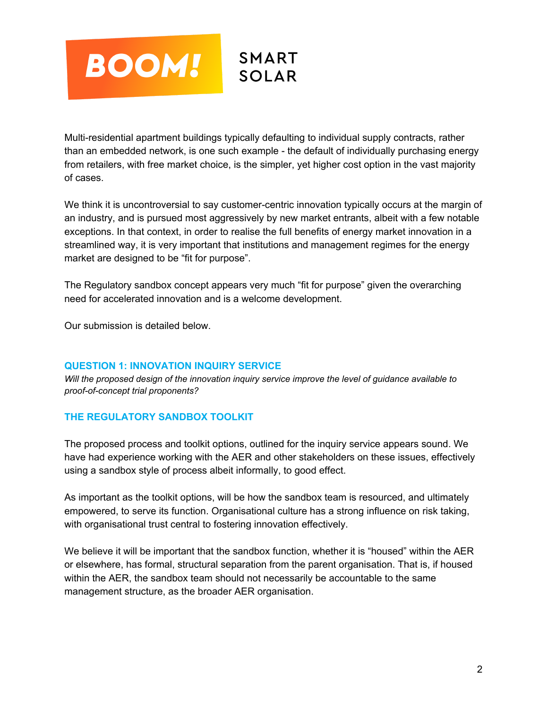

Multi-residential apartment buildings typically defaulting to individual supply contracts, rather than an embedded network, is one such example - the default of individually purchasing energy from retailers, with free market choice, is the simpler, yet higher cost option in the vast majority of cases.

We think it is uncontroversial to say customer-centric innovation typically occurs at the margin of an industry, and is pursued most aggressively by new market entrants, albeit with a few notable exceptions. In that context, in order to realise the full benefits of energy market innovation in a streamlined way, it is very important that institutions and management regimes for the energy market are designed to be "fit for purpose".

The Regulatory sandbox concept appears very much "fit for purpose" given the overarching need for accelerated innovation and is a welcome development.

Our submission is detailed below.

## **QUESTION 1: INNOVATION INQUIRY SERVICE**

*Will the proposed design of the innovation inquiry service improve the level of guidance available to proof-of-concept trial proponents?*

## **THE REGULATORY SANDBOX TOOLKIT**

The proposed process and toolkit options, outlined for the inquiry service appears sound. We have had experience working with the AER and other stakeholders on these issues, effectively using a sandbox style of process albeit informally, to good effect.

As important as the toolkit options, will be how the sandbox team is resourced, and ultimately empowered, to serve its function. Organisational culture has a strong influence on risk taking, with organisational trust central to fostering innovation effectively.

We believe it will be important that the sandbox function, whether it is "housed" within the AER or elsewhere, has formal, structural separation from the parent organisation. That is, if housed within the AER, the sandbox team should not necessarily be accountable to the same management structure, as the broader AER organisation.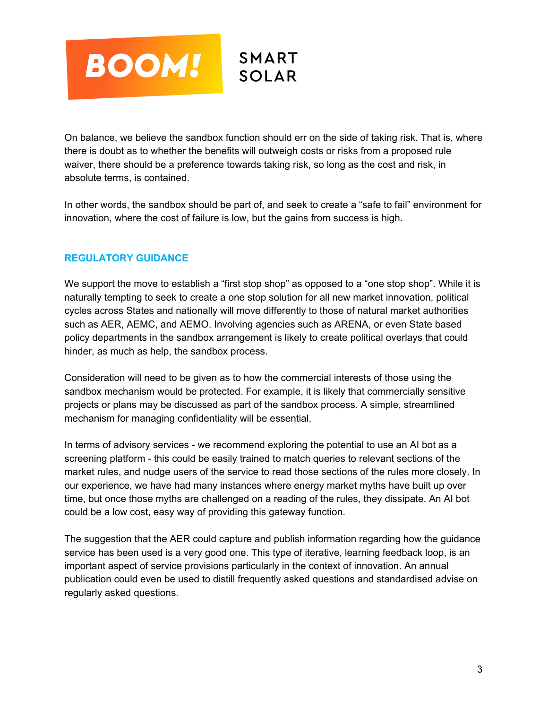

On balance, we believe the sandbox function should err on the side of taking risk. That is, where there is doubt as to whether the benefits will outweigh costs or risks from a proposed rule waiver, there should be a preference towards taking risk, so long as the cost and risk, in absolute terms, is contained.

In other words, the sandbox should be part of, and seek to create a "safe to fail" environment for innovation, where the cost of failure is low, but the gains from success is high.

# **REGULATORY GUIDANCE**

We support the move to establish a "first stop shop" as opposed to a "one stop shop". While it is naturally tempting to seek to create a one stop solution for all new market innovation, political cycles across States and nationally will move differently to those of natural market authorities such as AER, AEMC, and AEMO. Involving agencies such as ARENA, or even State based policy departments in the sandbox arrangement is likely to create political overlays that could hinder, as much as help, the sandbox process.

Consideration will need to be given as to how the commercial interests of those using the sandbox mechanism would be protected. For example, it is likely that commercially sensitive projects or plans may be discussed as part of the sandbox process. A simple, streamlined mechanism for managing confidentiality will be essential.

In terms of advisory services - we recommend exploring the potential to use an AI bot as a screening platform - this could be easily trained to match queries to relevant sections of the market rules, and nudge users of the service to read those sections of the rules more closely. In our experience, we have had many instances where energy market myths have built up over time, but once those myths are challenged on a reading of the rules, they dissipate. An AI bot could be a low cost, easy way of providing this gateway function.

The suggestion that the AER could capture and publish information regarding how the guidance service has been used is a very good one. This type of iterative, learning feedback loop, is an important aspect of service provisions particularly in the context of innovation. An annual publication could even be used to distill frequently asked questions and standardised advise on regularly asked questions.